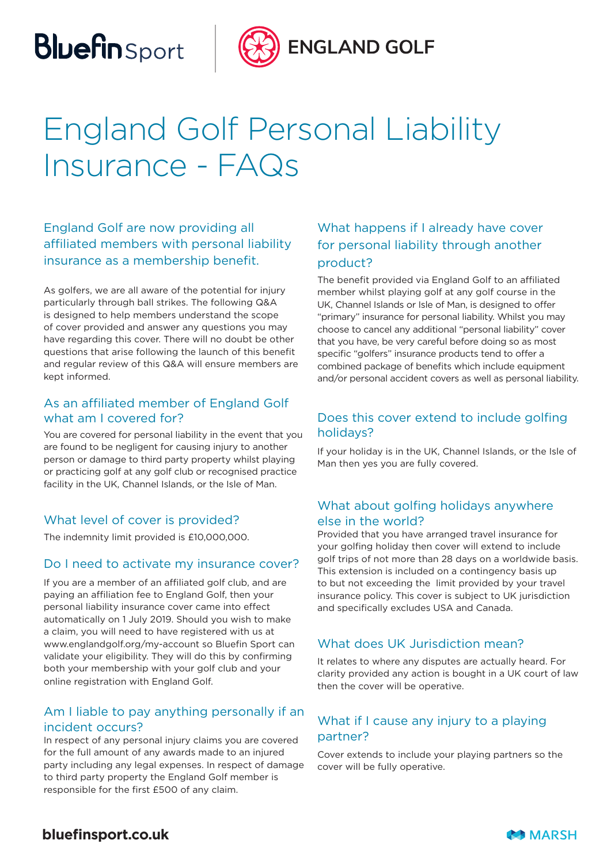## **Bluefin** Sport



**ENGLAND GOLF** 

## England Golf Personal Liability Insurance - FAQs

### England Golf are now providing all affiliated members with personal liability insurance as a membership benefit.

As golfers, we are all aware of the potential for injury particularly through ball strikes. The following Q&A is designed to help members understand the scope of cover provided and answer any questions you may have regarding this cover. There will no doubt be other questions that arise following the launch of this benefit and regular review of this Q&A will ensure members are kept informed.

### As an affiliated member of England Golf what am I covered for?

You are covered for personal liability in the event that you are found to be negligent for causing injury to another person or damage to third party property whilst playing or practicing golf at any golf club or recognised practice facility in the UK, Channel Islands, or the Isle of Man.

### What level of cover is provided?

The indemnity limit provided is £10,000,000.

#### Do I need to activate my insurance cover?

If you are a member of an affiliated golf club, and are paying an affiliation fee to England Golf, then your personal liability insurance cover came into effect automatically on 1 July 2019. Should you wish to make a claim, you will need to have registered with us at www.englandgolf.org/my-account so Bluefin Sport can validate your eligibility. They will do this by confirming both your membership with your golf club and your online registration with England Golf.

### Am I liable to pay anything personally if an incident occurs?

In respect of any personal injury claims you are covered for the full amount of any awards made to an injured party including any legal expenses. In respect of damage to third party property the England Golf member is responsible for the first £500 of any claim.

### What happens if I already have cover for personal liability through another product?

The benefit provided via England Golf to an affiliated member whilst playing golf at any golf course in the UK, Channel Islands or Isle of Man, is designed to offer "primary" insurance for personal liability. Whilst you may choose to cancel any additional "personal liability" cover that you have, be very careful before doing so as most specific "golfers" insurance products tend to offer a combined package of benefits which include equipment and/or personal accident covers as well as personal liability.

### Does this cover extend to include golfing holidays?

If your holiday is in the UK, Channel Islands, or the Isle of Man then yes you are fully covered.

### What about golfing holidays anywhere else in the world?

Provided that you have arranged travel insurance for your golfing holiday then cover will extend to include golf trips of not more than 28 days on a worldwide basis. This extension is included on a contingency basis up to but not exceeding the limit provided by your travel insurance policy. This cover is subject to UK jurisdiction and specifically excludes USA and Canada.

#### What does UK Jurisdiction mean?

It relates to where any disputes are actually heard. For clarity provided any action is bought in a UK court of law then the cover will be operative.

### What if I cause any injury to a playing partner?

Cover extends to include your playing partners so the cover will be fully operative.

### **bluefinsport.co.uk**